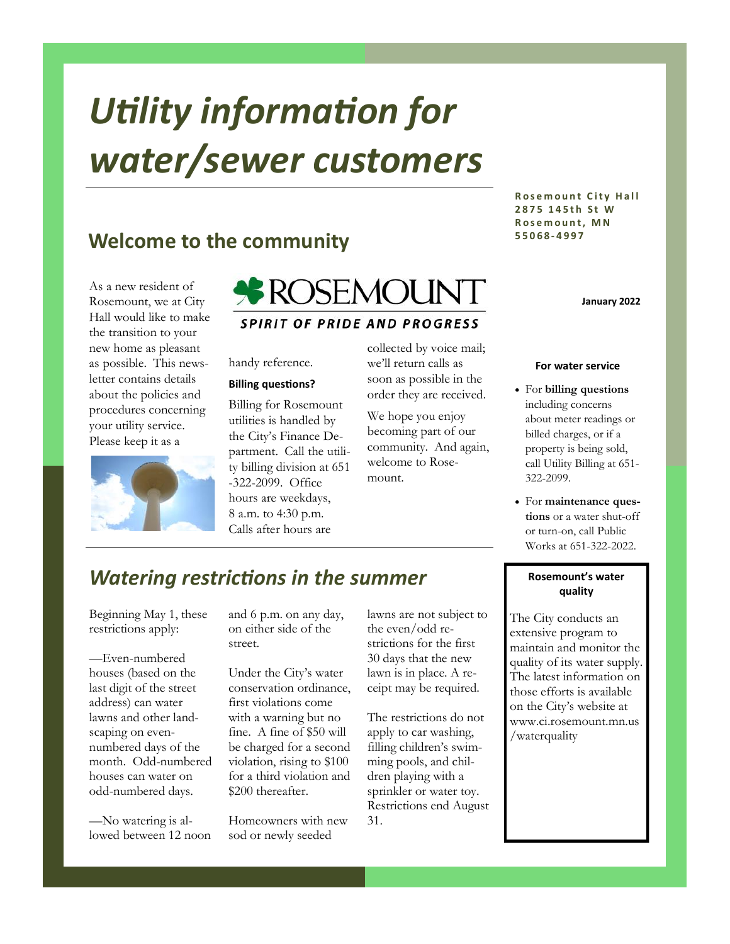# *Utility information for water/sewer customers*

## **Welcome to the community**

As a new resident of Rosemount, we at City Hall would like to make the transition to your new home as pleasant as possible. This newsletter contains details about the policies and procedures concerning your utility service. Please keep it as a



**ROSEMOUNT SPIRIT OF PRIDE AND PROGRESS** 

handy reference.

#### **Billing questions?**

Billing for Rosemount utilities is handled by the City's Finance Department. Call the utility billing division at 651 -322-2099. Office hours are weekdays, 8 a.m. to 4:30 p.m. Calls after hours are

collected by voice mail; we'll return calls as soon as possible in the order they are received.

We hope you enjoy becoming part of our community. And again, welcome to Rosemount.

#### **Rosemount City Hall 2 8 7 5 1 4 5 t h S t W R o s e m o u n t , M N 5 5 0 6 8 - 4 9 9 7**

**January 2022**

#### **For water service**

- For **billing questions**  including concerns about meter readings or billed charges, or if a property is being sold, call Utility Billing at 651- 322-2099.
- For **maintenance questions** or a water shut-off or turn-on, call Public Works at 651-322-2022.

## *Watering restrictions in the summer*

Beginning May 1, these restrictions apply:

—Even-numbered houses (based on the last digit of the street address) can water lawns and other landscaping on evennumbered days of the month. Odd-numbered houses can water on odd-numbered days.

—No watering is allowed between 12 noon and 6 p.m. on any day, on either side of the street.

Under the City's water conservation ordinance, first violations come with a warning but no fine. A fine of \$50 will be charged for a second violation, rising to \$100 for a third violation and \$200 thereafter.

Homeowners with new sod or newly seeded

lawns are not subject to the even/odd restrictions for the first 30 days that the new lawn is in place. A receipt may be required.

The restrictions do not apply to car washing, filling children's swimming pools, and children playing with a sprinkler or water toy. Restrictions end August 31.

#### **Rosemount's water quality**

The City conducts an extensive program to maintain and monitor the quality of its water supply. The latest information on those efforts is available on the City's website at www.ci.rosemount.mn.us /waterquality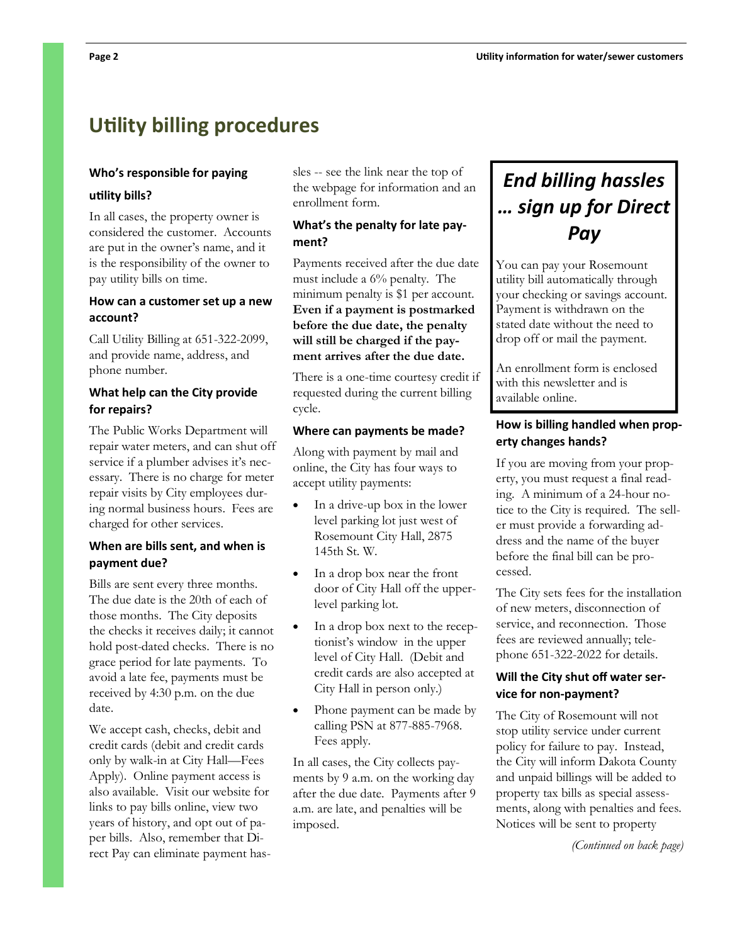# **Utility billing procedures**

#### **Who's responsible for paying**

#### **utility bills?**

In all cases, the property owner is considered the customer. Accounts are put in the owner's name, and it is the responsibility of the owner to pay utility bills on time.

#### **How can a customer set up a new account?**

Call Utility Billing at 651-322-2099, and provide name, address, and phone number.

#### **What help can the City provide for repairs?**

The Public Works Department will repair water meters, and can shut off service if a plumber advises it's necessary. There is no charge for meter repair visits by City employees during normal business hours. Fees are charged for other services.

#### **When are bills sent, and when is payment due?**

Bills are sent every three months. The due date is the 20th of each of those months. The City deposits the checks it receives daily; it cannot hold post-dated checks. There is no grace period for late payments. To avoid a late fee, payments must be received by 4:30 p.m. on the due date.

We accept cash, checks, debit and credit cards (debit and credit cards only by walk-in at City Hall—Fees Apply). Online payment access is also available. Visit our website for links to pay bills online, view two years of history, and opt out of paper bills. Also, remember that Direct Pay can eliminate payment hassles -- see the link near the top of the webpage for information and an enrollment form.

#### **What's the penalty for late payment?**

Payments received after the due date must include a 6% penalty. The minimum penalty is \$1 per account. **Even if a payment is postmarked before the due date, the penalty will still be charged if the payment arrives after the due date.** 

There is a one-time courtesy credit if requested during the current billing cycle.

#### **Where can payments be made?**

Along with payment by mail and online, the City has four ways to accept utility payments:

- In a drive-up box in the lower level parking lot just west of Rosemount City Hall, 2875 145th St. W.
- In a drop box near the front door of City Hall off the upperlevel parking lot.
- In a drop box next to the receptionist's window in the upper level of City Hall. (Debit and credit cards are also accepted at City Hall in person only.)
- Phone payment can be made by calling PSN at 877-885-7968. Fees apply.

In all cases, the City collects payments by 9 a.m. on the working day after the due date. Payments after 9 a.m. are late, and penalties will be imposed.

# *End billing hassles … sign up for Direct Pay*

You can pay your Rosemount utility bill automatically through your checking or savings account. Payment is withdrawn on the stated date without the need to drop off or mail the payment.

An enrollment form is enclosed with this newsletter and is available online.

#### **How is billing handled when property changes hands?**

If you are moving from your property, you must request a final reading. A minimum of a 24-hour notice to the City is required. The seller must provide a forwarding address and the name of the buyer before the final bill can be processed.

The City sets fees for the installation of new meters, disconnection of service, and reconnection. Those fees are reviewed annually; telephone 651-322-2022 for details.

#### **Will the City shut off water service for non-payment?**

The City of Rosemount will not stop utility service under current policy for failure to pay. Instead, the City will inform Dakota County and unpaid billings will be added to property tax bills as special assessments, along with penalties and fees. Notices will be sent to property

*(Continued on back page)*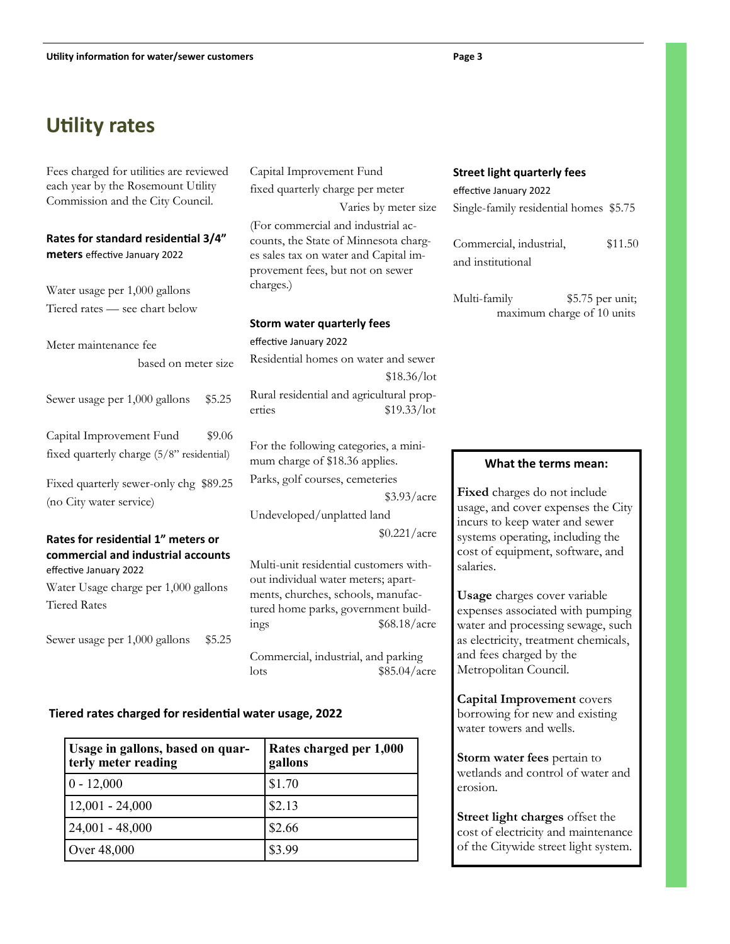# **Utility rates**

Fees charged for utilities are reviewed each year by the Rosemount Utility Commission and the City Council.

#### **Rates for standard residential 3/4" meters** effective January 2022

Water usage per 1,000 gallons Tiered rates — see chart below

Meter maintenance fee

based on meter size

Sewer usage per 1,000 gallons \$5.25

Capital Improvement Fund \$9.06 fixed quarterly charge (5/8" residential)

Fixed quarterly sewer-only chg \$89.25 (no City water service)

#### **Rates for residential 1" meters or commercial and industrial accounts**  effective January 2022

Water Usage charge per 1,000 gallons Tiered Rates

Sewer usage per 1,000 gallons \$5.25

Capital Improvement Fund fixed quarterly charge per meter Varies by meter size (For commercial and industrial accounts, the State of Minnesota charges sales tax on water and Capital improvement fees, but not on sewer charges.)

#### **Storm water quarterly fees**

effective January 2022 Residential homes on water and sewer \$18.36/lot Rural residential and agricultural properties \$19.33/lot

For the following categories, a minimum charge of \$18.36 applies.

Parks, golf courses, cemeteries

\$3.93/acre

Undeveloped/unplatted land \$0.221/acre

Multi-unit residential customers without individual water meters; apartments, churches, schools, manufactured home parks, government buildings  $$68.18/acre$ 

Commercial, industrial, and parking  $\frac{$85.04}{\text{arc}}$ 

#### **Tiered rates charged for residential water usage, 2022**

| Usage in gallons, based on quar-<br>terly meter reading | Rates charged per 1,000<br>gallons |
|---------------------------------------------------------|------------------------------------|
| $0 - 12,000$                                            | \$1.70                             |
| $12,001 - 24,000$                                       | \$2.13                             |
| $24,001 - 48,000$                                       | \$2.66                             |
| Over 48,000                                             | \$3.99                             |

#### **Street light quarterly fees**

effective January 2022 Single-family residential homes \$5.75

Commercial, industrial, \$11.50 and institutional

Multi-family \$5.75 per unit; maximum charge of 10 units

#### **What the terms mean:**

**Fixed** charges do not include usage, and cover expenses the City incurs to keep water and sewer systems operating, including the cost of equipment, software, and salaries.

**Usage** charges cover variable expenses associated with pumping water and processing sewage, such as electricity, treatment chemicals, and fees charged by the Metropolitan Council.

**Capital Improvement** covers borrowing for new and existing water towers and wells.

**Storm water fees** pertain to wetlands and control of water and erosion.

**Street light charges** offset the cost of electricity and maintenance of the Citywide street light system.